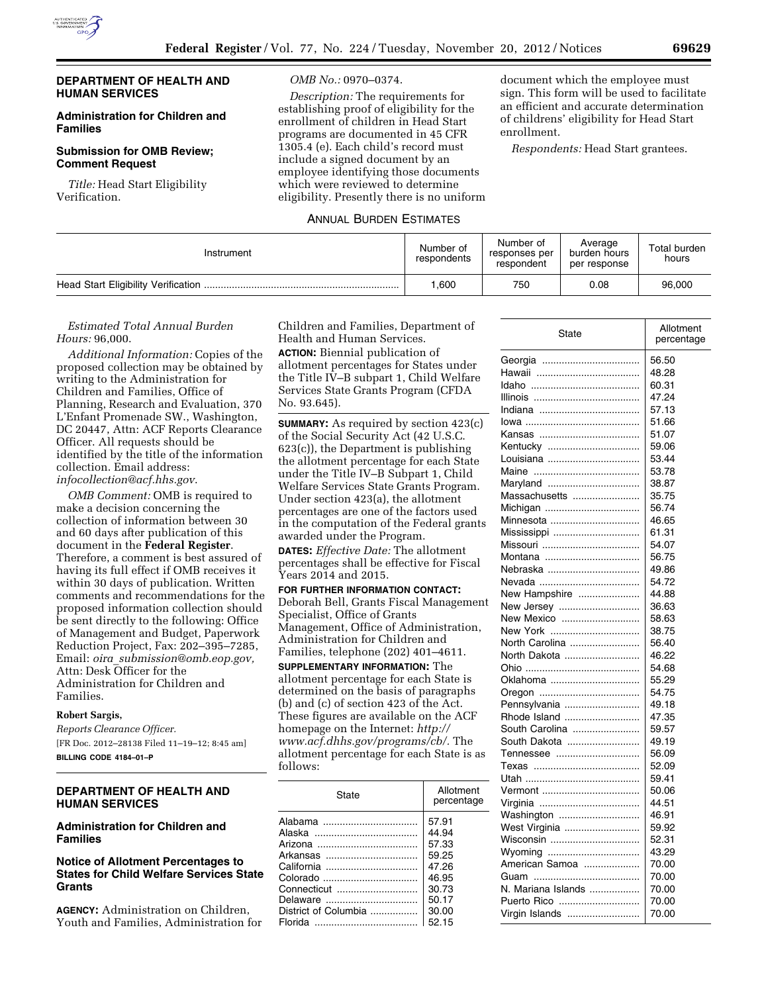## **DEPARTMENT OF HEALTH AND HUMAN SERVICES**

## **Administration for Children and Families**

## **Submission for OMB Review; Comment Request**

*Title:* Head Start Eligibility Verification.

#### *OMB No.:* 0970–0374.

*Description:* The requirements for establishing proof of eligibility for the enrollment of children in Head Start programs are documented in 45 CFR 1305.4 (e). Each child's record must include a signed document by an employee identifying those documents which were reviewed to determine eligibility. Presently there is no uniform

### ANNUAL BURDEN ESTIMATES

document which the employee must sign. This form will be used to facilitate an efficient and accurate determination of childrens' eligibility for Head Start enrollment.

*Respondents:* Head Start grantees.

| Instrument | Number of<br>respondents | Number of<br>responses per<br>respondent | Average<br>burden hours<br>per response | Total burden<br>hours |
|------------|--------------------------|------------------------------------------|-----------------------------------------|-----------------------|
|            | .600                     | 750                                      | 0.08                                    | 96,000                |

# *Estimated Total Annual Burden Hours:* 96,000.

*Additional Information:* Copies of the proposed collection may be obtained by writing to the Administration for Children and Families, Office of Planning, Research and Evaluation, 370 L'Enfant Promenade SW., Washington, DC 20447, Attn: ACF Reports Clearance Officer. All requests should be identified by the title of the information collection. Email address: *[infocollection@acf.hhs.gov](mailto:infocollection@acf.hhs.gov)*.

*OMB Comment:* OMB is required to make a decision concerning the collection of information between 30 and 60 days after publication of this document in the **Federal Register**. Therefore, a comment is best assured of having its full effect if OMB receives it within 30 days of publication. Written comments and recommendations for the proposed information collection should be sent directly to the following: Office of Management and Budget, Paperwork Reduction Project, Fax: 202–395–7285, Email: *oira*\_*[submission@omb.eop.gov,](mailto:oira_submission@omb.eop.gov)*  Attn: Desk Officer for the Administration for Children and Families.

# **Robert Sargis,**

*Reports Clearance Officer.*  [FR Doc. 2012–28138 Filed 11–19–12; 8:45 am] **BILLING CODE 4184–01–P** 

# **DEPARTMENT OF HEALTH AND HUMAN SERVICES**

# **Administration for Children and Families**

# **Notice of Allotment Percentages to States for Child Welfare Services State Grants**

**AGENCY:** Administration on Children, Youth and Families, Administration for Children and Families, Department of Health and Human Services.

**ACTION:** Biennial publication of allotment percentages for States under the Title IV–B subpart 1, Child Welfare Services State Grants Program (CFDA No. 93.645).

**SUMMARY:** As required by section 423(c) of the Social Security Act (42 U.S.C. 623(c)), the Department is publishing the allotment percentage for each State under the Title IV–B Subpart 1, Child Welfare Services State Grants Program. Under section 423(a), the allotment percentages are one of the factors used in the computation of the Federal grants awarded under the Program.

**DATES:** *Effective Date:* The allotment percentages shall be effective for Fiscal Years 2014 and 2015.

**FOR FURTHER INFORMATION CONTACT:**  Deborah Bell, Grants Fiscal Management Specialist, Office of Grants Management, Office of Administration, Administration for Children and Families, telephone (202) 401–4611. **SUPPLEMENTARY INFORMATION:** The allotment percentage for each State is determined on the basis of paragraphs (b) and (c) of section 423 of the Act. These figures are available on the ACF homepage on the Internet: *[http://](http://www.acf.dhhs.gov/programs/cb/)* 

*[www.acf.dhhs.gov/programs/cb/.](http://www.acf.dhhs.gov/programs/cb/)* The allotment percentage for each State is as follows:

| State                                                                                 | Allotment<br>percentage                                                       |
|---------------------------------------------------------------------------------------|-------------------------------------------------------------------------------|
| Arkansas<br>California<br>Colorado<br>Connecticut<br>Delaware<br>District of Columbia | 57.91<br>44.94<br>57.33<br>59.25<br>47.26<br>46.95<br>30.73<br>50.17<br>30.00 |
|                                                                                       | 52.15                                                                         |

| State              | Allotment<br>percentage |
|--------------------|-------------------------|
|                    | 56.50                   |
|                    | 48.28                   |
|                    | 60.31                   |
|                    | 47.24                   |
| Indiana            | 57.13                   |
|                    | 51.66                   |
|                    | 51.07                   |
| Kentuckv           | 59.06                   |
| Louisiana          | 53.44                   |
|                    | 53.78                   |
| Maryland           | 38.87                   |
| Massachusetts      | 35.75                   |
| Michigan           | 56.74                   |
| Minnesota          | 46.65                   |
|                    | 61.31                   |
| Missouri           | 54.07                   |
| Montana            | 56.75                   |
| Nebraska           | 49.86                   |
|                    | 54.72                   |
| New Hampshire      | 44.88                   |
| New Jersey         | 36.63                   |
| New Mexico         | 58.63                   |
| New York           | 38.75                   |
| North Carolina     | 56.40                   |
| North Dakota       | 46.22                   |
|                    | 54.68                   |
| Oklahoma           | 55.29                   |
|                    | 54.75                   |
| Pennsylvania       | 49.18                   |
| Rhode Island       | 47.35                   |
| South Carolina     | 59.57                   |
| South Dakota       | 49.19                   |
| Tennessee          | 56.09                   |
|                    | 52.09                   |
|                    | 59.41                   |
|                    | 50.06                   |
|                    | 44.51                   |
| Washington         | 46.91                   |
| West Virginia      | 59.92                   |
| Wisconsin          | 52.31                   |
| Wyoming            | 43.29                   |
| American Samoa     | 70.00                   |
|                    | 70.00                   |
| N. Mariana Islands | 70.00                   |
| Puerto Rico        | 70.00                   |
| Virgin Islands     | 70.00                   |
|                    |                         |